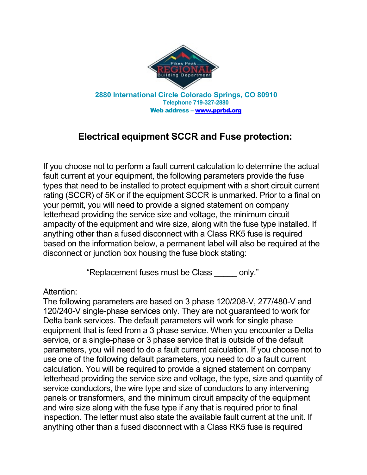

## **Electrical equipment SCCR and Fuse protection:**

If you choose not to perform a fault current calculation to determine the actual fault current at your equipment, the following parameters provide the fuse types that need to be installed to protect equipment with a short circuit current rating (SCCR) of 5K or if the equipment SCCR is unmarked. Prior to a final on your permit, you will need to provide a signed statement on company letterhead providing the service size and voltage, the minimum circuit ampacity of the equipment and wire size, along with the fuse type installed. If anything other than a fused disconnect with a Class RK5 fuse is required based on the information below, a permanent label will also be required at the disconnect or junction box housing the fuse block stating:

"Replacement fuses must be Class \_\_\_\_\_ only."

## Attention:

The following parameters are based on 3 phase 120/208-V, 277/480-V and 120/240-V single-phase services only. They are not guaranteed to work for Delta bank services. The default parameters will work for single phase equipment that is feed from a 3 phase service. When you encounter a Delta service, or a single-phase or 3 phase service that is outside of the default parameters, you will need to do a fault current calculation. If you choose not to use one of the following default parameters, you need to do a fault current calculation. You will be required to provide a signed statement on company letterhead providing the service size and voltage, the type, size and quantity of service conductors, the wire type and size of conductors to any intervening panels or transformers, and the minimum circuit ampacity of the equipment and wire size along with the fuse type if any that is required prior to final inspection. The letter must also state the available fault current at the unit. If anything other than a fused disconnect with a Class RK5 fuse is required